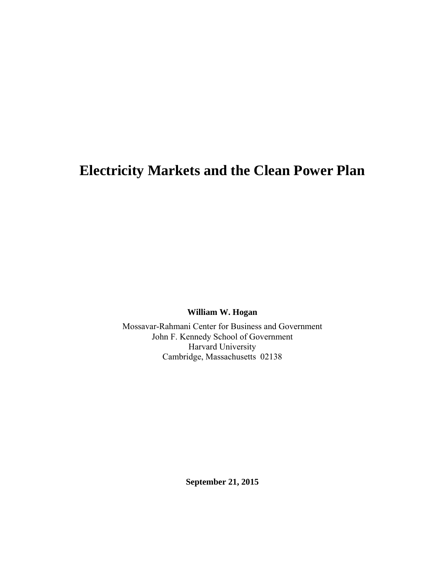# **Electricity Markets and the Clean Power Plan**

**William W. Hogan** 

Mossavar-Rahmani Center for Business and Government John F. Kennedy School of Government Harvard University Cambridge, Massachusetts 02138

**September 21, 2015**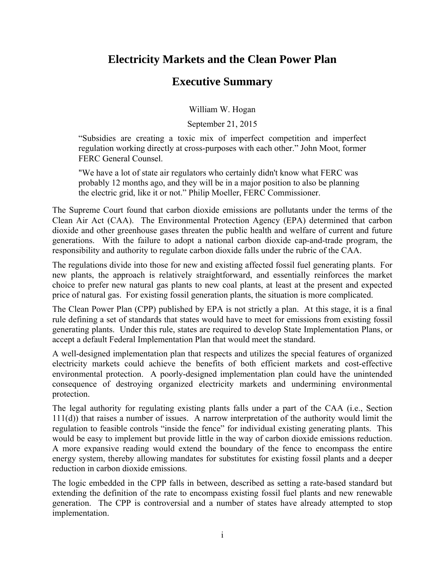# **Electricity Markets and the Clean Power Plan**

# **Executive Summary**

William W. Hogan

September 21, 2015

"Subsidies are creating a toxic mix of imperfect competition and imperfect regulation working directly at cross-purposes with each other." John Moot, former FERC General Counsel.

"We have a lot of state air regulators who certainly didn't know what FERC was probably 12 months ago, and they will be in a major position to also be planning the electric grid, like it or not." Philip Moeller, FERC Commissioner.

The Supreme Court found that carbon dioxide emissions are pollutants under the terms of the Clean Air Act (CAA). The Environmental Protection Agency (EPA) determined that carbon dioxide and other greenhouse gases threaten the public health and welfare of current and future generations. With the failure to adopt a national carbon dioxide cap-and-trade program, the responsibility and authority to regulate carbon dioxide falls under the rubric of the CAA.

The regulations divide into those for new and existing affected fossil fuel generating plants. For new plants, the approach is relatively straightforward, and essentially reinforces the market choice to prefer new natural gas plants to new coal plants, at least at the present and expected price of natural gas. For existing fossil generation plants, the situation is more complicated.

The Clean Power Plan (CPP) published by EPA is not strictly a plan. At this stage, it is a final rule defining a set of standards that states would have to meet for emissions from existing fossil generating plants. Under this rule, states are required to develop State Implementation Plans, or accept a default Federal Implementation Plan that would meet the standard.

A well-designed implementation plan that respects and utilizes the special features of organized electricity markets could achieve the benefits of both efficient markets and cost-effective environmental protection. A poorly-designed implementation plan could have the unintended consequence of destroying organized electricity markets and undermining environmental protection.

The legal authority for regulating existing plants falls under a part of the CAA (i.e., Section 111(d)) that raises a number of issues. A narrow interpretation of the authority would limit the regulation to feasible controls "inside the fence" for individual existing generating plants. This would be easy to implement but provide little in the way of carbon dioxide emissions reduction. A more expansive reading would extend the boundary of the fence to encompass the entire energy system, thereby allowing mandates for substitutes for existing fossil plants and a deeper reduction in carbon dioxide emissions.

The logic embedded in the CPP falls in between, described as setting a rate-based standard but extending the definition of the rate to encompass existing fossil fuel plants and new renewable generation. The CPP is controversial and a number of states have already attempted to stop implementation.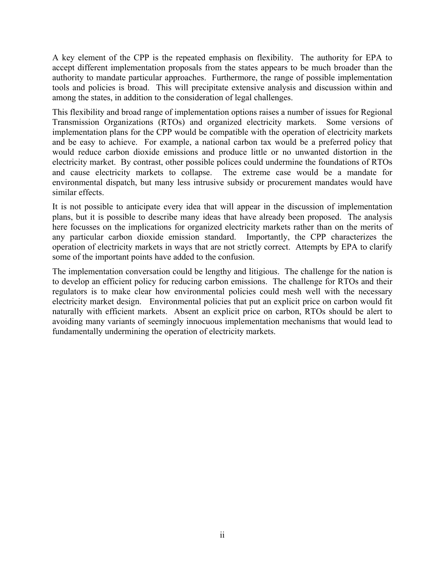A key element of the CPP is the repeated emphasis on flexibility. The authority for EPA to accept different implementation proposals from the states appears to be much broader than the authority to mandate particular approaches. Furthermore, the range of possible implementation tools and policies is broad. This will precipitate extensive analysis and discussion within and among the states, in addition to the consideration of legal challenges.

This flexibility and broad range of implementation options raises a number of issues for Regional Transmission Organizations (RTOs) and organized electricity markets. Some versions of implementation plans for the CPP would be compatible with the operation of electricity markets and be easy to achieve. For example, a national carbon tax would be a preferred policy that would reduce carbon dioxide emissions and produce little or no unwanted distortion in the electricity market. By contrast, other possible polices could undermine the foundations of RTOs and cause electricity markets to collapse. The extreme case would be a mandate for environmental dispatch, but many less intrusive subsidy or procurement mandates would have similar effects.

It is not possible to anticipate every idea that will appear in the discussion of implementation plans, but it is possible to describe many ideas that have already been proposed. The analysis here focusses on the implications for organized electricity markets rather than on the merits of any particular carbon dioxide emission standard. Importantly, the CPP characterizes the operation of electricity markets in ways that are not strictly correct. Attempts by EPA to clarify some of the important points have added to the confusion.

The implementation conversation could be lengthy and litigious. The challenge for the nation is to develop an efficient policy for reducing carbon emissions. The challenge for RTOs and their regulators is to make clear how environmental policies could mesh well with the necessary electricity market design. Environmental policies that put an explicit price on carbon would fit naturally with efficient markets. Absent an explicit price on carbon, RTOs should be alert to avoiding many variants of seemingly innocuous implementation mechanisms that would lead to fundamentally undermining the operation of electricity markets.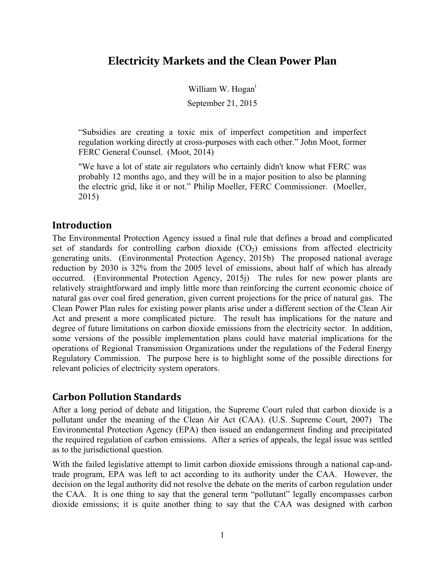## **Electricity Markets and the Clean Power Plan**

William W. Hogan<sup>i</sup>

September 21, 2015

"Subsidies are creating a toxic mix of imperfect competition and imperfect regulation working directly at cross-purposes with each other." John Moot, former FERC General Counsel. (Moot, 2014)

"We have a lot of state air regulators who certainly didn't know what FERC was probably 12 months ago, and they will be in a major position to also be planning the electric grid, like it or not." Philip Moeller, FERC Commissioner. (Moeller, 2015)

#### **Introduction**

The Environmental Protection Agency issued a final rule that defines a broad and complicated set of standards for controlling carbon dioxide  $(CO<sub>2</sub>)$  emissions from affected electricity generating units. (Environmental Protection Agency, 2015b) The proposed national average reduction by 2030 is 32% from the 2005 level of emissions, about half of which has already occurred. (Environmental Protection Agency, 2015j) The rules for new power plants are relatively straightforward and imply little more than reinforcing the current economic choice of natural gas over coal fired generation, given current projections for the price of natural gas. The Clean Power Plan rules for existing power plants arise under a different section of the Clean Air Act and present a more complicated picture. The result has implications for the nature and degree of future limitations on carbon dioxide emissions from the electricity sector. In addition, some versions of the possible implementation plans could have material implications for the operations of Regional Transmission Organizations under the regulations of the Federal Energy Regulatory Commission. The purpose here is to highlight some of the possible directions for relevant policies of electricity system operators.

## **Carbon Pollution Standards**

After a long period of debate and litigation, the Supreme Court ruled that carbon dioxide is a pollutant under the meaning of the Clean Air Act (CAA). (U.S. Supreme Court, 2007) The Environmental Protection Agency (EPA) then issued an endangerment finding and precipitated the required regulation of carbon emissions. After a series of appeals, the legal issue was settled as to the jurisdictional question.

With the failed legislative attempt to limit carbon dioxide emissions through a national cap-andtrade program, EPA was left to act according to its authority under the CAA. However, the decision on the legal authority did not resolve the debate on the merits of carbon regulation under the CAA. It is one thing to say that the general term "pollutant" legally encompasses carbon dioxide emissions; it is quite another thing to say that the CAA was designed with carbon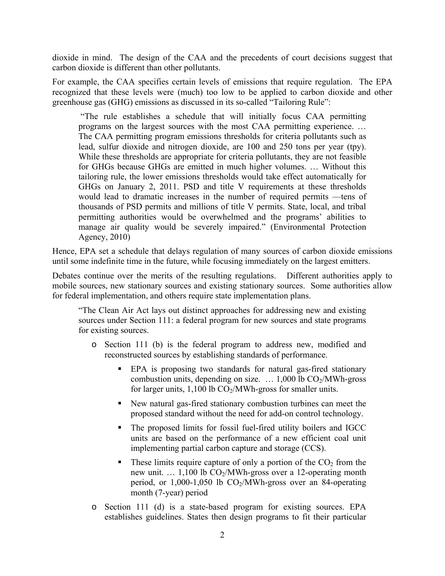dioxide in mind. The design of the CAA and the precedents of court decisions suggest that carbon dioxide is different than other pollutants.

For example, the CAA specifies certain levels of emissions that require regulation. The EPA recognized that these levels were (much) too low to be applied to carbon dioxide and other greenhouse gas (GHG) emissions as discussed in its so-called "Tailoring Rule":

 "The rule establishes a schedule that will initially focus CAA permitting programs on the largest sources with the most CAA permitting experience. … The CAA permitting program emissions thresholds for criteria pollutants such as lead, sulfur dioxide and nitrogen dioxide, are 100 and 250 tons per year (tpy). While these thresholds are appropriate for criteria pollutants, they are not feasible for GHGs because GHGs are emitted in much higher volumes. … Without this tailoring rule, the lower emissions thresholds would take effect automatically for GHGs on January 2, 2011. PSD and title V requirements at these thresholds would lead to dramatic increases in the number of required permits —tens of thousands of PSD permits and millions of title V permits. State, local, and tribal permitting authorities would be overwhelmed and the programs' abilities to manage air quality would be severely impaired." (Environmental Protection Agency, 2010)

Hence, EPA set a schedule that delays regulation of many sources of carbon dioxide emissions until some indefinite time in the future, while focusing immediately on the largest emitters.

Debates continue over the merits of the resulting regulations. Different authorities apply to mobile sources, new stationary sources and existing stationary sources. Some authorities allow for federal implementation, and others require state implementation plans.

"The Clean Air Act lays out distinct approaches for addressing new and existing sources under Section 111: a federal program for new sources and state programs for existing sources.

- o Section 111 (b) is the federal program to address new, modified and reconstructed sources by establishing standards of performance.
	- EPA is proposing two standards for natural gas-fired stationary combustion units, depending on size.  $\dots$  1,000 lb CO<sub>2</sub>/MWh-gross for larger units,  $1,100$  lb  $CO<sub>2</sub>/MWh-gross$  for smaller units.
	- New natural gas-fired stationary combustion turbines can meet the proposed standard without the need for add-on control technology.
	- The proposed limits for fossil fuel-fired utility boilers and IGCC units are based on the performance of a new efficient coal unit implementing partial carbon capture and storage (CCS).
	- These limits require capture of only a portion of the  $CO<sub>2</sub>$  from the new unit.  $\ldots$  1,100 lb CO<sub>2</sub>/MWh-gross over a 12-operating month period, or  $1,000-1,050$  lb  $CO<sub>2</sub>/MWh-gross$  over an 84-operating month (7-year) period
- o Section 111 (d) is a state-based program for existing sources. EPA establishes guidelines. States then design programs to fit their particular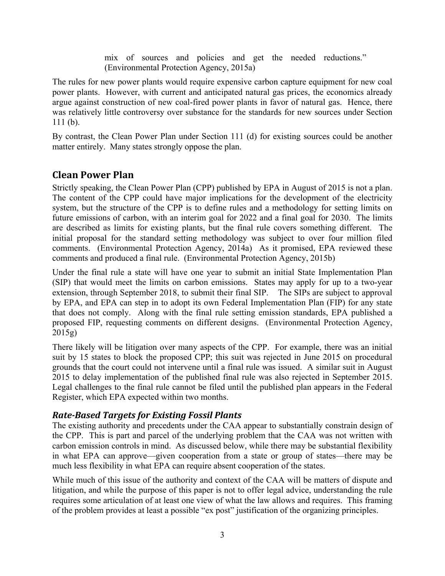mix of sources and policies and get the needed reductions." (Environmental Protection Agency, 2015a)

The rules for new power plants would require expensive carbon capture equipment for new coal power plants. However, with current and anticipated natural gas prices, the economics already argue against construction of new coal-fired power plants in favor of natural gas. Hence, there was relatively little controversy over substance for the standards for new sources under Section 111 (b).

By contrast, the Clean Power Plan under Section 111 (d) for existing sources could be another matter entirely. Many states strongly oppose the plan.

## **Clean Power Plan**

Strictly speaking, the Clean Power Plan (CPP) published by EPA in August of 2015 is not a plan. The content of the CPP could have major implications for the development of the electricity system, but the structure of the CPP is to define rules and a methodology for setting limits on future emissions of carbon, with an interim goal for 2022 and a final goal for 2030. The limits are described as limits for existing plants, but the final rule covers something different. The initial proposal for the standard setting methodology was subject to over four million filed comments. (Environmental Protection Agency, 2014a) As it promised, EPA reviewed these comments and produced a final rule. (Environmental Protection Agency, 2015b)

Under the final rule a state will have one year to submit an initial State Implementation Plan (SIP) that would meet the limits on carbon emissions. States may apply for up to a two-year extension, through September 2018, to submit their final SIP. The SIPs are subject to approval by EPA, and EPA can step in to adopt its own Federal Implementation Plan (FIP) for any state that does not comply. Along with the final rule setting emission standards, EPA published a proposed FIP, requesting comments on different designs. (Environmental Protection Agency, 2015g)

There likely will be litigation over many aspects of the CPP. For example, there was an initial suit by 15 states to block the proposed CPP; this suit was rejected in June 2015 on procedural grounds that the court could not intervene until a final rule was issued. A similar suit in August 2015 to delay implementation of the published final rule was also rejected in September 2015. Legal challenges to the final rule cannot be filed until the published plan appears in the Federal Register, which EPA expected within two months.

## *Rate‐Based Targets for Existing Fossil Plants*

The existing authority and precedents under the CAA appear to substantially constrain design of the CPP. This is part and parcel of the underlying problem that the CAA was not written with carbon emission controls in mind. As discussed below, while there may be substantial flexibility in what EPA can approve—given cooperation from a state or group of states—there may be much less flexibility in what EPA can require absent cooperation of the states.

While much of this issue of the authority and context of the CAA will be matters of dispute and litigation, and while the purpose of this paper is not to offer legal advice, understanding the rule requires some articulation of at least one view of what the law allows and requires. This framing of the problem provides at least a possible "ex post" justification of the organizing principles.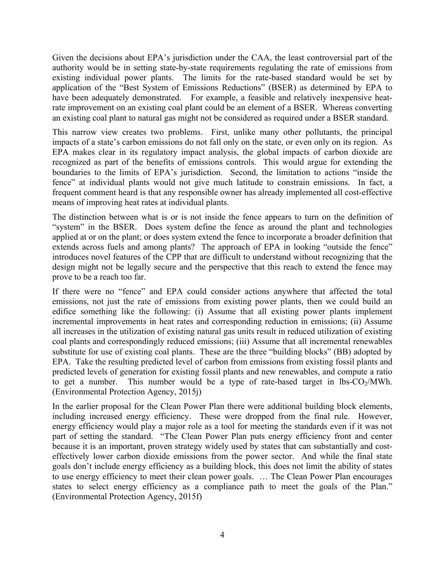Given the decisions about EPA's jurisdiction under the CAA, the least controversial part of the authority would be in setting state-by-state requirements regulating the rate of emissions from existing individual power plants. The limits for the rate-based standard would be set by application of the "Best System of Emissions Reductions" (BSER) as determined by EPA to have been adequately demonstrated. For example, a feasible and relatively inexpensive heatrate improvement on an existing coal plant could be an element of a BSER. Whereas converting an existing coal plant to natural gas might not be considered as required under a BSER standard.

This narrow view creates two problems. First, unlike many other pollutants, the principal impacts of a state's carbon emissions do not fall only on the state, or even only on its region. As EPA makes clear in its regulatory impact analysis, the global impacts of carbon dioxide are recognized as part of the benefits of emissions controls. This would argue for extending the boundaries to the limits of EPA's jurisdiction. Second, the limitation to actions "inside the fence" at individual plants would not give much latitude to constrain emissions. In fact, a frequent comment heard is that any responsible owner has already implemented all cost-effective means of improving heat rates at individual plants.

The distinction between what is or is not inside the fence appears to turn on the definition of "system" in the BSER. Does system define the fence as around the plant and technologies applied at or on the plant; or does system extend the fence to incorporate a broader definition that extends across fuels and among plants? The approach of EPA in looking "outside the fence" introduces novel features of the CPP that are difficult to understand without recognizing that the design might not be legally secure and the perspective that this reach to extend the fence may prove to be a reach too far.

If there were no "fence" and EPA could consider actions anywhere that affected the total emissions, not just the rate of emissions from existing power plants, then we could build an edifice something like the following: (i) Assume that all existing power plants implement incremental improvements in heat rates and corresponding reduction in emissions; (ii) Assume all increases in the utilization of existing natural gas units result in reduced utilization of existing coal plants and correspondingly reduced emissions; (iii) Assume that all incremental renewables substitute for use of existing coal plants. These are the three "building blocks" (BB) adopted by EPA. Take the resulting predicted level of carbon from emissions from existing fossil plants and predicted levels of generation for existing fossil plants and new renewables, and compute a ratio to get a number. This number would be a type of rate-based target in  $lbs-CO<sub>2</sub>/MWh$ . (Environmental Protection Agency, 2015j)

In the earlier proposal for the Clean Power Plan there were additional building block elements, including increased energy efficiency. These were dropped from the final rule. However, energy efficiency would play a major role as a tool for meeting the standards even if it was not part of setting the standard. "The Clean Power Plan puts energy efficiency front and center because it is an important, proven strategy widely used by states that can substantially and costeffectively lower carbon dioxide emissions from the power sector. And while the final state goals don't include energy efficiency as a building block, this does not limit the ability of states to use energy efficiency to meet their clean power goals. … The Clean Power Plan encourages states to select energy efficiency as a compliance path to meet the goals of the Plan." (Environmental Protection Agency, 2015f)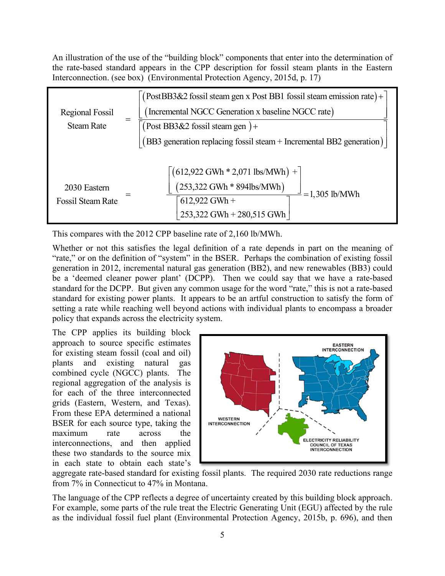An illustration of the use of the "building block" components that enter into the determination of the rate-based standard appears in the CPP description for fossil steam plants in the Eastern Interconnection. (see box) (Environmental Protection Agency, 2015d, p. 17)

|                          | (PostBB3&2 fossil steam gen x Post BB1 fossil steam emission rate) + |  |
|--------------------------|----------------------------------------------------------------------|--|
| Regional Fossil          | Incremental NGCC Generation x baseline NGCC rate)                    |  |
| $=$<br><b>Steam Rate</b> | (Post BB3&2 fossil steam gen)+                                       |  |
|                          | (BB3 generation replacing fossil steam + Incremental BB2 generation) |  |
|                          |                                                                      |  |
|                          | $(612,922 \text{ GWh} * 2,071 \text{ lbs/MWh}) +$                    |  |
| 2030 Eastern             | $(253,322 \text{ GWh} * 894 \text{lbs/MWh})$                         |  |
| <b>Fossil Steam Rate</b> | $=$ = 1,305 lb/MWh<br>$612,922$ GWh +                                |  |
|                          | 253,322 GWh + 280,515 GWh                                            |  |

This compares with the 2012 CPP baseline rate of 2,160 lb/MWh.

Whether or not this satisfies the legal definition of a rate depends in part on the meaning of "rate," or on the definition of "system" in the BSER. Perhaps the combination of existing fossil generation in 2012, incremental natural gas generation (BB2), and new renewables (BB3) could be a 'deemed cleaner power plant' (DCPP). Then we could say that we have a rate-based standard for the DCPP. But given any common usage for the word "rate," this is not a rate-based standard for existing power plants. It appears to be an artful construction to satisfy the form of setting a rate while reaching well beyond actions with individual plants to encompass a broader policy that expands across the electricity system.

The CPP applies its building block approach to source specific estimates for existing steam fossil (coal and oil) plants and existing natural gas combined cycle (NGCC) plants. The regional aggregation of the analysis is for each of the three interconnected grids (Eastern, Western, and Texas). From these EPA determined a national BSER for each source type, taking the maximum rate across the interconnections, and then applied these two standards to the source mix in each state to obtain each state's



aggregate rate-based standard for existing fossil plants. The required 2030 rate reductions range from 7% in Connecticut to 47% in Montana.

The language of the CPP reflects a degree of uncertainty created by this building block approach. For example, some parts of the rule treat the Electric Generating Unit (EGU) affected by the rule as the individual fossil fuel plant (Environmental Protection Agency, 2015b, p. 696), and then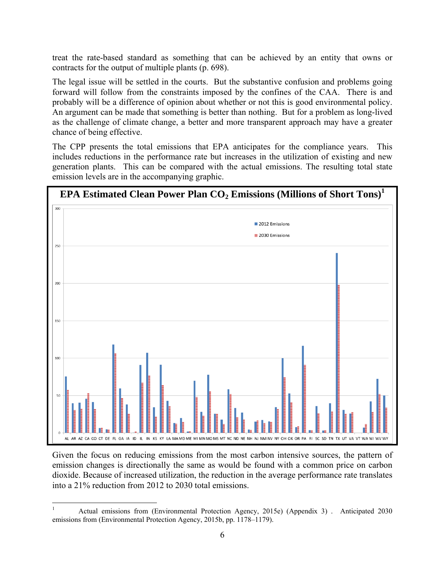treat the rate-based standard as something that can be achieved by an entity that owns or contracts for the output of multiple plants (p. 698).

The legal issue will be settled in the courts. But the substantive confusion and problems going forward will follow from the constraints imposed by the confines of the CAA. There is and probably will be a difference of opinion about whether or not this is good environmental policy. An argument can be made that something is better than nothing. But for a problem as long-lived as the challenge of climate change, a better and more transparent approach may have a greater chance of being effective.

The CPP presents the total emissions that EPA anticipates for the compliance years. This includes reductions in the performance rate but increases in the utilization of existing and new generation plants. This can be compared with the actual emissions. The resulting total state emission levels are in the accompanying graphic.



Given the focus on reducing emissions from the most carbon intensive sources, the pattern of emission changes is directionally the same as would be found with a common price on carbon dioxide. Because of increased utilization, the reduction in the average performance rate translates into a 21% reduction from 2012 to 2030 total emissions.

 $\frac{1}{1}$  Actual emissions from (Environmental Protection Agency, 2015e) (Appendix 3) . Anticipated 2030 emissions from (Environmental Protection Agency, 2015b, pp. 1178–1179).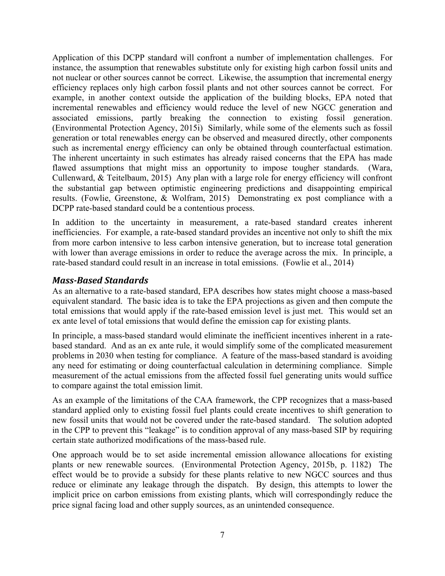Application of this DCPP standard will confront a number of implementation challenges. For instance, the assumption that renewables substitute only for existing high carbon fossil units and not nuclear or other sources cannot be correct. Likewise, the assumption that incremental energy efficiency replaces only high carbon fossil plants and not other sources cannot be correct. For example, in another context outside the application of the building blocks, EPA noted that incremental renewables and efficiency would reduce the level of new NGCC generation and associated emissions, partly breaking the connection to existing fossil generation. (Environmental Protection Agency, 2015i) Similarly, while some of the elements such as fossil generation or total renewables energy can be observed and measured directly, other components such as incremental energy efficiency can only be obtained through counterfactual estimation. The inherent uncertainty in such estimates has already raised concerns that the EPA has made flawed assumptions that might miss an opportunity to impose tougher standards. (Wara, Cullenward, & Teitelbaum, 2015) Any plan with a large role for energy efficiency will confront the substantial gap between optimistic engineering predictions and disappointing empirical results. (Fowlie, Greenstone, & Wolfram, 2015) Demonstrating ex post compliance with a DCPP rate-based standard could be a contentious process.

In addition to the uncertainty in measurement, a rate-based standard creates inherent inefficiencies. For example, a rate-based standard provides an incentive not only to shift the mix from more carbon intensive to less carbon intensive generation, but to increase total generation with lower than average emissions in order to reduce the average across the mix. In principle, a rate-based standard could result in an increase in total emissions. (Fowlie et al., 2014)

#### *Mass‐Based Standards*

As an alternative to a rate-based standard, EPA describes how states might choose a mass-based equivalent standard. The basic idea is to take the EPA projections as given and then compute the total emissions that would apply if the rate-based emission level is just met. This would set an ex ante level of total emissions that would define the emission cap for existing plants.

In principle, a mass-based standard would eliminate the inefficient incentives inherent in a ratebased standard. And as an ex ante rule, it would simplify some of the complicated measurement problems in 2030 when testing for compliance. A feature of the mass-based standard is avoiding any need for estimating or doing counterfactual calculation in determining compliance. Simple measurement of the actual emissions from the affected fossil fuel generating units would suffice to compare against the total emission limit.

As an example of the limitations of the CAA framework, the CPP recognizes that a mass-based standard applied only to existing fossil fuel plants could create incentives to shift generation to new fossil units that would not be covered under the rate-based standard. The solution adopted in the CPP to prevent this "leakage" is to condition approval of any mass-based SIP by requiring certain state authorized modifications of the mass-based rule.

One approach would be to set aside incremental emission allowance allocations for existing plants or new renewable sources. (Environmental Protection Agency, 2015b, p. 1182) The effect would be to provide a subsidy for these plants relative to new NGCC sources and thus reduce or eliminate any leakage through the dispatch. By design, this attempts to lower the implicit price on carbon emissions from existing plants, which will correspondingly reduce the price signal facing load and other supply sources, as an unintended consequence.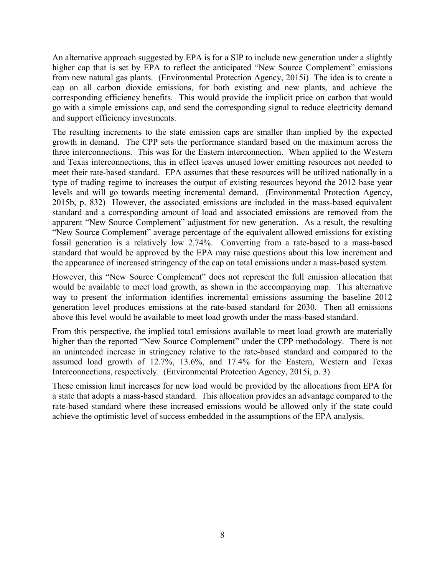An alternative approach suggested by EPA is for a SIP to include new generation under a slightly higher cap that is set by EPA to reflect the anticipated "New Source Complement" emissions from new natural gas plants. (Environmental Protection Agency, 2015i) The idea is to create a cap on all carbon dioxide emissions, for both existing and new plants, and achieve the corresponding efficiency benefits. This would provide the implicit price on carbon that would go with a simple emissions cap, and send the corresponding signal to reduce electricity demand and support efficiency investments.

The resulting increments to the state emission caps are smaller than implied by the expected growth in demand. The CPP sets the performance standard based on the maximum across the three interconnections. This was for the Eastern interconnection. When applied to the Western and Texas interconnections, this in effect leaves unused lower emitting resources not needed to meet their rate-based standard. EPA assumes that these resources will be utilized nationally in a type of trading regime to increases the output of existing resources beyond the 2012 base year levels and will go towards meeting incremental demand. (Environmental Protection Agency, 2015b, p. 832) However, the associated emissions are included in the mass-based equivalent standard and a corresponding amount of load and associated emissions are removed from the apparent "New Source Complement" adjustment for new generation. As a result, the resulting "New Source Complement" average percentage of the equivalent allowed emissions for existing fossil generation is a relatively low 2.74%. Converting from a rate-based to a mass-based standard that would be approved by the EPA may raise questions about this low increment and the appearance of increased stringency of the cap on total emissions under a mass-based system.

However, this "New Source Complement" does not represent the full emission allocation that would be available to meet load growth, as shown in the accompanying map. This alternative way to present the information identifies incremental emissions assuming the baseline 2012 generation level produces emissions at the rate-based standard for 2030. Then all emissions above this level would be available to meet load growth under the mass-based standard.

From this perspective, the implied total emissions available to meet load growth are materially higher than the reported "New Source Complement" under the CPP methodology. There is not an unintended increase in stringency relative to the rate-based standard and compared to the assumed load growth of 12.7%, 13.6%, and 17.4% for the Eastern, Western and Texas Interconnections, respectively. (Environmental Protection Agency, 2015i, p. 3)

These emission limit increases for new load would be provided by the allocations from EPA for a state that adopts a mass-based standard. This allocation provides an advantage compared to the rate-based standard where these increased emissions would be allowed only if the state could achieve the optimistic level of success embedded in the assumptions of the EPA analysis.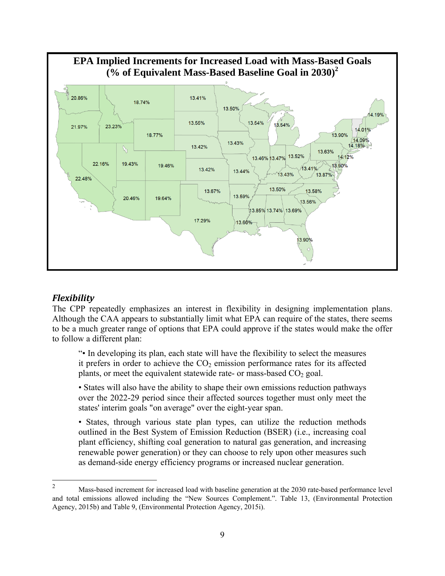

## *Flexibility*

The CPP repeatedly emphasizes an interest in flexibility in designing implementation plans. Although the CAA appears to substantially limit what EPA can require of the states, there seems to be a much greater range of options that EPA could approve if the states would make the offer to follow a different plan:

"• In developing its plan, each state will have the flexibility to select the measures it prefers in order to achieve the  $CO<sub>2</sub>$  emission performance rates for its affected plants, or meet the equivalent statewide rate- or mass-based  $CO<sub>2</sub>$  goal.

• States will also have the ability to shape their own emissions reduction pathways over the 2022-29 period since their affected sources together must only meet the states' interim goals "on average" over the eight-year span.

• States, through various state plan types, can utilize the reduction methods outlined in the Best System of Emission Reduction (BSER) (i.e., increasing coal plant efficiency, shifting coal generation to natural gas generation, and increasing renewable power generation) or they can choose to rely upon other measures such as demand-side energy efficiency programs or increased nuclear generation.

 $\overline{2}$ 2 Mass-based increment for increased load with baseline generation at the 2030 rate-based performance level and total emissions allowed including the "New Sources Complement.". Table 13, (Environmental Protection Agency, 2015b) and Table 9, (Environmental Protection Agency, 2015i).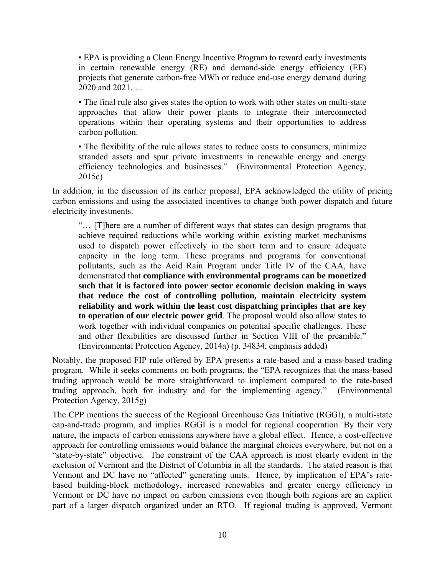• EPA is providing a Clean Energy Incentive Program to reward early investments in certain renewable energy (RE) and demand-side energy efficiency (EE) projects that generate carbon-free MWh or reduce end-use energy demand during 2020 and 2021. …

• The final rule also gives states the option to work with other states on multi-state approaches that allow their power plants to integrate their interconnected operations within their operating systems and their opportunities to address carbon pollution.

• The flexibility of the rule allows states to reduce costs to consumers, minimize stranded assets and spur private investments in renewable energy and energy efficiency technologies and businesses." (Environmental Protection Agency, 2015c)

In addition, in the discussion of its earlier proposal, EPA acknowledged the utility of pricing carbon emissions and using the associated incentives to change both power dispatch and future electricity investments.

"… [T]here are a number of different ways that states can design programs that achieve required reductions while working within existing market mechanisms used to dispatch power effectively in the short term and to ensure adequate capacity in the long term. These programs and programs for conventional pollutants, such as the Acid Rain Program under Title IV of the CAA, have demonstrated that **compliance with environmental programs can be monetized such that it is factored into power sector economic decision making in ways that reduce the cost of controlling pollution, maintain electricity system reliability and work within the least cost dispatching principles that are key to operation of our electric power grid**. The proposal would also allow states to work together with individual companies on potential specific challenges. These and other flexibilities are discussed further in Section VIII of the preamble." (Environmental Protection Agency, 2014a) (p. 34834, emphasis added)

Notably, the proposed FIP rule offered by EPA presents a rate-based and a mass-based trading program. While it seeks comments on both programs, the "EPA recognizes that the mass-based trading approach would be more straightforward to implement compared to the rate-based trading approach, both for industry and for the implementing agency." (Environmental Protection Agency, 2015g)

The CPP mentions the success of the Regional Greenhouse Gas Initiative (RGGI), a multi-state cap-and-trade program, and implies RGGI is a model for regional cooperation. By their very nature, the impacts of carbon emissions anywhere have a global effect. Hence, a cost-effective approach for controlling emissions would balance the marginal choices everywhere, but not on a "state-by-state" objective. The constraint of the CAA approach is most clearly evident in the exclusion of Vermont and the District of Columbia in all the standards. The stated reason is that Vermont and DC have no "affected" generating units. Hence, by implication of EPA's ratebased building-block methodology, increased renewables and greater energy efficiency in Vermont or DC have no impact on carbon emissions even though both regions are an explicit part of a larger dispatch organized under an RTO. If regional trading is approved, Vermont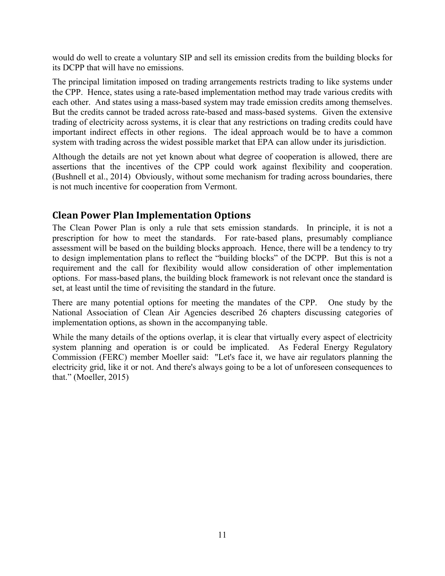would do well to create a voluntary SIP and sell its emission credits from the building blocks for its DCPP that will have no emissions.

The principal limitation imposed on trading arrangements restricts trading to like systems under the CPP. Hence, states using a rate-based implementation method may trade various credits with each other. And states using a mass-based system may trade emission credits among themselves. But the credits cannot be traded across rate-based and mass-based systems. Given the extensive trading of electricity across systems, it is clear that any restrictions on trading credits could have important indirect effects in other regions. The ideal approach would be to have a common system with trading across the widest possible market that EPA can allow under its jurisdiction.

Although the details are not yet known about what degree of cooperation is allowed, there are assertions that the incentives of the CPP could work against flexibility and cooperation. (Bushnell et al., 2014) Obviously, without some mechanism for trading across boundaries, there is not much incentive for cooperation from Vermont.

## **Clean Power Plan Implementation Options**

The Clean Power Plan is only a rule that sets emission standards. In principle, it is not a prescription for how to meet the standards. For rate-based plans, presumably compliance assessment will be based on the building blocks approach. Hence, there will be a tendency to try to design implementation plans to reflect the "building blocks" of the DCPP. But this is not a requirement and the call for flexibility would allow consideration of other implementation options. For mass-based plans, the building block framework is not relevant once the standard is set, at least until the time of revisiting the standard in the future.

There are many potential options for meeting the mandates of the CPP. One study by the National Association of Clean Air Agencies described 26 chapters discussing categories of implementation options, as shown in the accompanying table.

While the many details of the options overlap, it is clear that virtually every aspect of electricity system planning and operation is or could be implicated. As Federal Energy Regulatory Commission (FERC) member Moeller said: "Let's face it, we have air regulators planning the electricity grid, like it or not. And there's always going to be a lot of unforeseen consequences to that." (Moeller, 2015)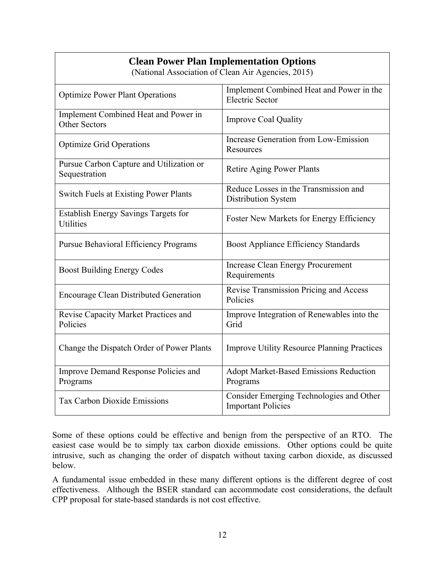## **Clean Power Plan Implementation Options**

(National Association of Clean Air Agencies, 2015)

| <b>Optimize Power Plant Operations</b>                    | Implement Combined Heat and Power in the<br><b>Electric Sector</b>    |
|-----------------------------------------------------------|-----------------------------------------------------------------------|
| Implement Combined Heat and Power in<br>Other Sectors     | <b>Improve Coal Quality</b>                                           |
| <b>Optimize Grid Operations</b>                           | Increase Generation from Low-Emission<br>Resources                    |
| Pursue Carbon Capture and Utilization or<br>Sequestration | <b>Retire Aging Power Plants</b>                                      |
| <b>Switch Fuels at Existing Power Plants</b>              | Reduce Losses in the Transmission and<br>Distribution System          |
| Establish Energy Savings Targets for<br><b>Utilities</b>  | Foster New Markets for Energy Efficiency                              |
| <b>Pursue Behavioral Efficiency Programs</b>              | <b>Boost Appliance Efficiency Standards</b>                           |
| <b>Boost Building Energy Codes</b>                        | <b>Increase Clean Energy Procurement</b><br>Requirements              |
| <b>Encourage Clean Distributed Generation</b>             | Revise Transmission Pricing and Access<br>Policies                    |
| Revise Capacity Market Practices and<br>Policies          | Improve Integration of Renewables into the<br>Grid                    |
| Change the Dispatch Order of Power Plants                 | <b>Improve Utility Resource Planning Practices</b>                    |
| Improve Demand Response Policies and<br>Programs          | <b>Adopt Market-Based Emissions Reduction</b><br>Programs             |
| Tax Carbon Dioxide Emissions                              | Consider Emerging Technologies and Other<br><b>Important Policies</b> |

Some of these options could be effective and benign from the perspective of an RTO. The easiest case would be to simply tax carbon dioxide emissions. Other options could be quite intrusive, such as changing the order of dispatch without taxing carbon dioxide, as discussed below.

A fundamental issue embedded in these many different options is the different degree of cost effectiveness. Although the BSER standard can accommodate cost considerations, the default CPP proposal for state-based standards is not cost effective.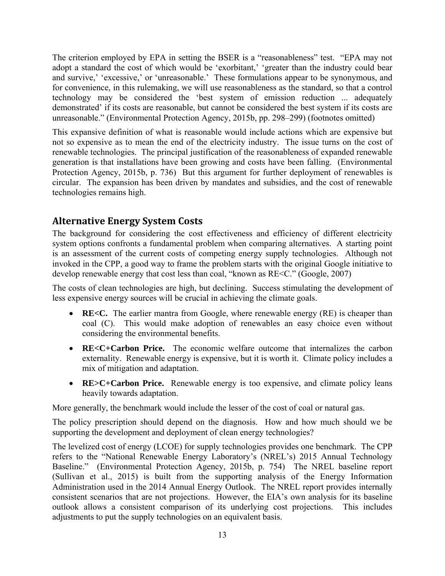The criterion employed by EPA in setting the BSER is a "reasonableness" test. "EPA may not adopt a standard the cost of which would be 'exorbitant,' 'greater than the industry could bear and survive,' 'excessive,' or 'unreasonable.' These formulations appear to be synonymous, and for convenience, in this rulemaking, we will use reasonableness as the standard, so that a control technology may be considered the 'best system of emission reduction ... adequately demonstrated' if its costs are reasonable, but cannot be considered the best system if its costs are unreasonable." (Environmental Protection Agency, 2015b, pp. 298–299) (footnotes omitted)

This expansive definition of what is reasonable would include actions which are expensive but not so expensive as to mean the end of the electricity industry. The issue turns on the cost of renewable technologies. The principal justification of the reasonableness of expanded renewable generation is that installations have been growing and costs have been falling. (Environmental Protection Agency, 2015b, p. 736) But this argument for further deployment of renewables is circular. The expansion has been driven by mandates and subsidies, and the cost of renewable technologies remains high.

## **Alternative Energy System Costs**

The background for considering the cost effectiveness and efficiency of different electricity system options confronts a fundamental problem when comparing alternatives. A starting point is an assessment of the current costs of competing energy supply technologies. Although not invoked in the CPP, a good way to frame the problem starts with the original Google initiative to develop renewable energy that cost less than coal, "known as RE<C." (Google, 2007)

The costs of clean technologies are high, but declining. Success stimulating the development of less expensive energy sources will be crucial in achieving the climate goals.

- **RE<C.** The earlier mantra from Google, where renewable energy (RE) is cheaper than coal (C). This would make adoption of renewables an easy choice even without considering the environmental benefits.
- **RE<C+Carbon Price.** The economic welfare outcome that internalizes the carbon externality. Renewable energy is expensive, but it is worth it. Climate policy includes a mix of mitigation and adaptation.
- **RE>C+Carbon Price.** Renewable energy is too expensive, and climate policy leans heavily towards adaptation.

More generally, the benchmark would include the lesser of the cost of coal or natural gas.

The policy prescription should depend on the diagnosis. How and how much should we be supporting the development and deployment of clean energy technologies?

The levelized cost of energy (LCOE) for supply technologies provides one benchmark. The CPP refers to the "National Renewable Energy Laboratory's (NREL's) 2015 Annual Technology Baseline." (Environmental Protection Agency, 2015b, p. 754) The NREL baseline report (Sullivan et al., 2015) is built from the supporting analysis of the Energy Information Administration used in the 2014 Annual Energy Outlook. The NREL report provides internally consistent scenarios that are not projections. However, the EIA's own analysis for its baseline outlook allows a consistent comparison of its underlying cost projections. This includes adjustments to put the supply technologies on an equivalent basis.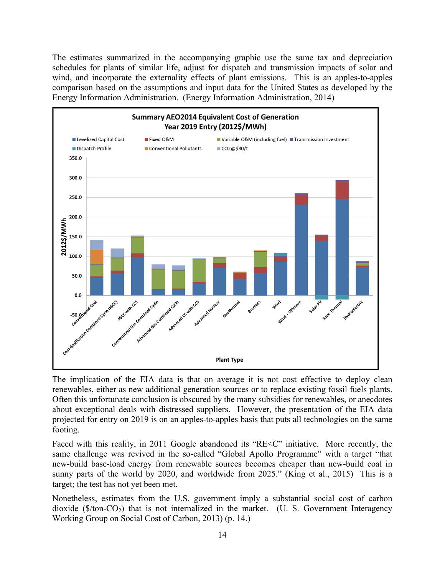The estimates summarized in the accompanying graphic use the same tax and depreciation schedules for plants of similar life, adjust for dispatch and transmission impacts of solar and wind, and incorporate the externality effects of plant emissions. This is an apples-to-apples comparison based on the assumptions and input data for the United States as developed by the Energy Information Administration. (Energy Information Administration, 2014)



The implication of the EIA data is that on average it is not cost effective to deploy clean renewables, either as new additional generation sources or to replace existing fossil fuels plants. Often this unfortunate conclusion is obscured by the many subsidies for renewables, or anecdotes about exceptional deals with distressed suppliers. However, the presentation of the EIA data projected for entry on 2019 is on an apples-to-apples basis that puts all technologies on the same footing.

Faced with this reality, in 2011 Google abandoned its "RE<C" initiative. More recently, the same challenge was revived in the so-called "Global Apollo Programme" with a target "that new-build base-load energy from renewable sources becomes cheaper than new-build coal in sunny parts of the world by 2020, and worldwide from 2025." (King et al., 2015) This is a target; the test has not yet been met.

Nonetheless, estimates from the U.S. government imply a substantial social cost of carbon dioxide  $(\frac{\pi}{6})$  that is not internalized in the market. (U. S. Government Interagency Working Group on Social Cost of Carbon, 2013) (p. 14.)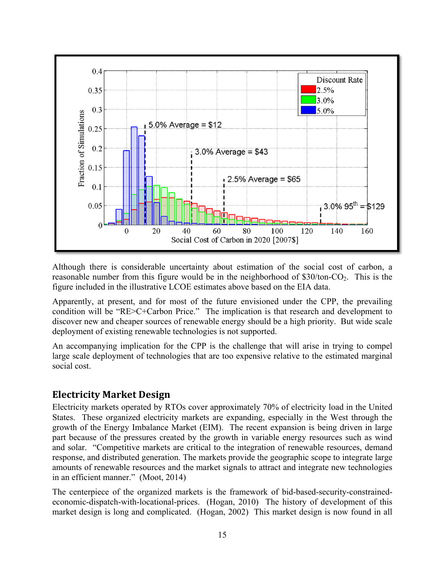

Although there is considerable uncertainty about estimation of the social cost of carbon, a reasonable number from this figure would be in the neighborhood of  $$30/ton-CO<sub>2</sub>$ . This is the figure included in the illustrative LCOE estimates above based on the EIA data.

Apparently, at present, and for most of the future envisioned under the CPP, the prevailing condition will be "RE>C+Carbon Price." The implication is that research and development to discover new and cheaper sources of renewable energy should be a high priority. But wide scale deployment of existing renewable technologies is not supported.

An accompanying implication for the CPP is the challenge that will arise in trying to compel large scale deployment of technologies that are too expensive relative to the estimated marginal social cost.

## **Electricity Market Design**

Electricity markets operated by RTOs cover approximately 70% of electricity load in the United States. These organized electricity markets are expanding, especially in the West through the growth of the Energy Imbalance Market (EIM). The recent expansion is being driven in large part because of the pressures created by the growth in variable energy resources such as wind and solar. "Competitive markets are critical to the integration of renewable resources, demand response, and distributed generation. The markets provide the geographic scope to integrate large amounts of renewable resources and the market signals to attract and integrate new technologies in an efficient manner." (Moot, 2014)

The centerpiece of the organized markets is the framework of bid-based-security-constrainedeconomic-dispatch-with-locational-prices. (Hogan, 2010) The history of development of this market design is long and complicated. (Hogan, 2002) This market design is now found in all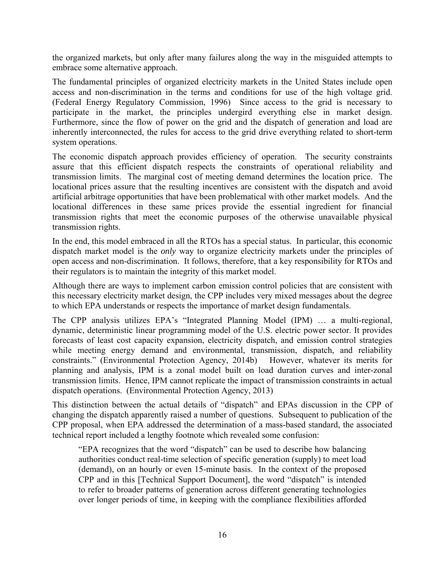the organized markets, but only after many failures along the way in the misguided attempts to embrace some alternative approach.

The fundamental principles of organized electricity markets in the United States include open access and non-discrimination in the terms and conditions for use of the high voltage grid. (Federal Energy Regulatory Commission, 1996) Since access to the grid is necessary to participate in the market, the principles undergird everything else in market design. Furthermore, since the flow of power on the grid and the dispatch of generation and load are inherently interconnected, the rules for access to the grid drive everything related to short-term system operations.

The economic dispatch approach provides efficiency of operation. The security constraints assure that this efficient dispatch respects the constraints of operational reliability and transmission limits. The marginal cost of meeting demand determines the location price. The locational prices assure that the resulting incentives are consistent with the dispatch and avoid artificial arbitrage opportunities that have been problematical with other market models. And the locational differences in these same prices provide the essential ingredient for financial transmission rights that meet the economic purposes of the otherwise unavailable physical transmission rights.

In the end, this model embraced in all the RTOs has a special status. In particular, this economic dispatch market model is the *only* way to organize electricity markets under the principles of open access and non-discrimination. It follows, therefore, that a key responsibility for RTOs and their regulators is to maintain the integrity of this market model.

Although there are ways to implement carbon emission control policies that are consistent with this necessary electricity market design, the CPP includes very mixed messages about the degree to which EPA understands or respects the importance of market design fundamentals.

The CPP analysis utilizes EPA's "Integrated Planning Model (IPM) … a multi-regional, dynamic, deterministic linear programming model of the U.S. electric power sector. It provides forecasts of least cost capacity expansion, electricity dispatch, and emission control strategies while meeting energy demand and environmental, transmission, dispatch, and reliability constraints." (Environmental Protection Agency, 2014b) However, whatever its merits for planning and analysis, IPM is a zonal model built on load duration curves and inter-zonal transmission limits. Hence, IPM cannot replicate the impact of transmission constraints in actual dispatch operations. (Environmental Protection Agency, 2013)

This distinction between the actual details of "dispatch" and EPAs discussion in the CPP of changing the dispatch apparently raised a number of questions. Subsequent to publication of the CPP proposal, when EPA addressed the determination of a mass-based standard, the associated technical report included a lengthy footnote which revealed some confusion:

"EPA recognizes that the word "dispatch" can be used to describe how balancing authorities conduct real-time selection of specific generation (supply) to meet load (demand), on an hourly or even 15-minute basis. In the context of the proposed CPP and in this [Technical Support Document], the word "dispatch" is intended to refer to broader patterns of generation across different generating technologies over longer periods of time, in keeping with the compliance flexibilities afforded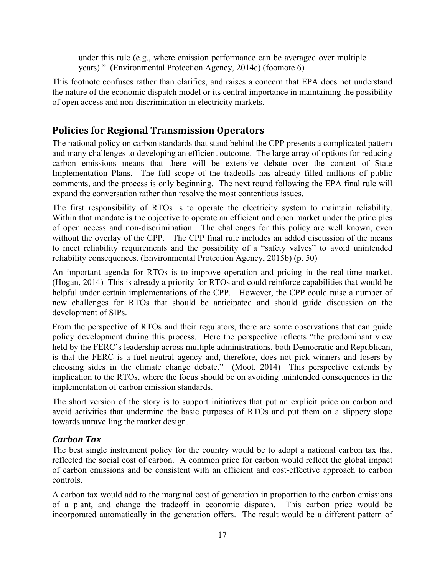under this rule (e.g., where emission performance can be averaged over multiple years)." (Environmental Protection Agency, 2014c) (footnote 6)

This footnote confuses rather than clarifies, and raises a concern that EPA does not understand the nature of the economic dispatch model or its central importance in maintaining the possibility of open access and non-discrimination in electricity markets.

## **Policies for Regional Transmission Operators**

The national policy on carbon standards that stand behind the CPP presents a complicated pattern and many challenges to developing an efficient outcome. The large array of options for reducing carbon emissions means that there will be extensive debate over the content of State Implementation Plans. The full scope of the tradeoffs has already filled millions of public comments, and the process is only beginning. The next round following the EPA final rule will expand the conversation rather than resolve the most contentious issues.

The first responsibility of RTOs is to operate the electricity system to maintain reliability. Within that mandate is the objective to operate an efficient and open market under the principles of open access and non-discrimination. The challenges for this policy are well known, even without the overlay of the CPP. The CPP final rule includes an added discussion of the means to meet reliability requirements and the possibility of a "safety valves" to avoid unintended reliability consequences. (Environmental Protection Agency, 2015b) (p. 50)

An important agenda for RTOs is to improve operation and pricing in the real-time market. (Hogan, 2014) This is already a priority for RTOs and could reinforce capabilities that would be helpful under certain implementations of the CPP. However, the CPP could raise a number of new challenges for RTOs that should be anticipated and should guide discussion on the development of SIPs.

From the perspective of RTOs and their regulators, there are some observations that can guide policy development during this process. Here the perspective reflects "the predominant view held by the FERC's leadership across multiple administrations, both Democratic and Republican, is that the FERC is a fuel-neutral agency and, therefore, does not pick winners and losers by choosing sides in the climate change debate." (Moot, 2014) This perspective extends by implication to the RTOs, where the focus should be on avoiding unintended consequences in the implementation of carbon emission standards.

The short version of the story is to support initiatives that put an explicit price on carbon and avoid activities that undermine the basic purposes of RTOs and put them on a slippery slope towards unravelling the market design.

## *Carbon Tax*

The best single instrument policy for the country would be to adopt a national carbon tax that reflected the social cost of carbon. A common price for carbon would reflect the global impact of carbon emissions and be consistent with an efficient and cost-effective approach to carbon controls.

A carbon tax would add to the marginal cost of generation in proportion to the carbon emissions of a plant, and change the tradeoff in economic dispatch. This carbon price would be incorporated automatically in the generation offers. The result would be a different pattern of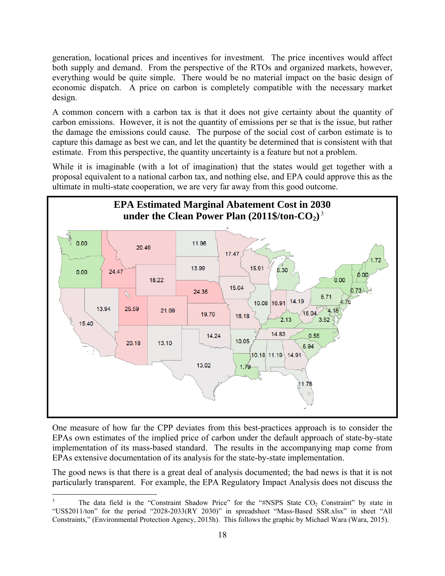generation, locational prices and incentives for investment. The price incentives would affect both supply and demand. From the perspective of the RTOs and organized markets, however, everything would be quite simple. There would be no material impact on the basic design of economic dispatch. A price on carbon is completely compatible with the necessary market design.

A common concern with a carbon tax is that it does not give certainty about the quantity of carbon emissions. However, it is not the quantity of emissions per se that is the issue, but rather the damage the emissions could cause. The purpose of the social cost of carbon estimate is to capture this damage as best we can, and let the quantity be determined that is consistent with that estimate. From this perspective, the quantity uncertainty is a feature but not a problem.

While it is imaginable (with a lot of imagination) that the states would get together with a proposal equivalent to a national carbon tax, and nothing else, and EPA could approve this as the ultimate in multi-state cooperation, we are very far away from this good outcome.



One measure of how far the CPP deviates from this best-practices approach is to consider the EPAs own estimates of the implied price of carbon under the default approach of state-by-state implementation of its mass-based standard. The results in the accompanying map come from EPAs extensive documentation of its analysis for the state-by-state implementation.

The good news is that there is a great deal of analysis documented; the bad news is that it is not particularly transparent. For example, the EPA Regulatory Impact Analysis does not discuss the

 $\overline{a}$ 3 The data field is the "Constraint Shadow Price" for the "#NSPS State CO<sub>2</sub> Constraint" by state in "US\$2011/ton" for the period "2028-2033(RY 2030)" in spreadsheet "Mass-Based SSR.xlsx" in sheet "All Constraints," (Environmental Protection Agency, 2015h). This follows the graphic by Michael Wara (Wara, 2015).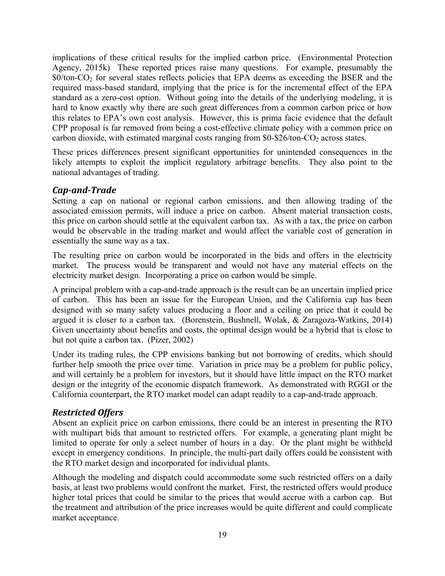implications of these critical results for the implied carbon price. (Environmental Protection Agency, 2015k) These reported prices raise many questions. For example, presumably the  $$0$ /ton-CO<sub>2</sub> for several states reflects policies that EPA deems as exceeding the BSER and the required mass-based standard, implying that the price is for the incremental effect of the EPA standard as a zero-cost option. Without going into the details of the underlying modeling, it is hard to know exactly why there are such great differences from a common carbon price or how this relates to EPA's own cost analysis. However, this is prima facie evidence that the default CPP proposal is far removed from being a cost-effective climate policy with a common price on carbon dioxide, with estimated marginal costs ranging from  $$0-\$26/t$ on-CO<sub>2</sub> across states.

These prices differences present significant opportunities for unintended consequences in the likely attempts to exploit the implicit regulatory arbitrage benefits. They also point to the national advantages of trading.

#### *Cap‐and‐Trade*

Setting a cap on national or regional carbon emissions, and then allowing trading of the associated emission permits, will induce a price on carbon. Absent material transaction costs, this price on carbon should settle at the equivalent carbon tax. As with a tax, the price on carbon would be observable in the trading market and would affect the variable cost of generation in essentially the same way as a tax.

The resulting price on carbon would be incorporated in the bids and offers in the electricity market. The process would be transparent and would not have any material effects on the electricity market design. Incorporating a price on carbon would be simple.

A principal problem with a cap-and-trade approach is the result can be an uncertain implied price of carbon. This has been an issue for the European Union, and the California cap has been designed with so many safety values producing a floor and a ceiling on price that it could be argued it is closer to a carbon tax. (Borenstein, Bushnell, Wolak, & Zaragoza-Watkins, 2014) Given uncertainty about benefits and costs, the optimal design would be a hybrid that is close to but not quite a carbon tax. (Pizer, 2002)

Under its trading rules, the CPP envisions banking but not borrowing of credits, which should further help smooth the price over time. Variation in price may be a problem for public policy, and will certainly be a problem for investors, but it should have little impact on the RTO market design or the integrity of the economic dispatch framework. As demonstrated with RGGI or the California counterpart, the RTO market model can adapt readily to a cap-and-trade approach.

## *Restricted Offers*

Absent an explicit price on carbon emissions, there could be an interest in presenting the RTO with multipart bids that amount to restricted offers. For example, a generating plant might be limited to operate for only a select number of hours in a day. Or the plant might be withheld except in emergency conditions. In principle, the multi-part daily offers could be consistent with the RTO market design and incorporated for individual plants.

Although the modeling and dispatch could accommodate some such restricted offers on a daily basis, at least two problems would confront the market. First, the restricted offers would produce higher total prices that could be similar to the prices that would accrue with a carbon cap. But the treatment and attribution of the price increases would be quite different and could complicate market acceptance.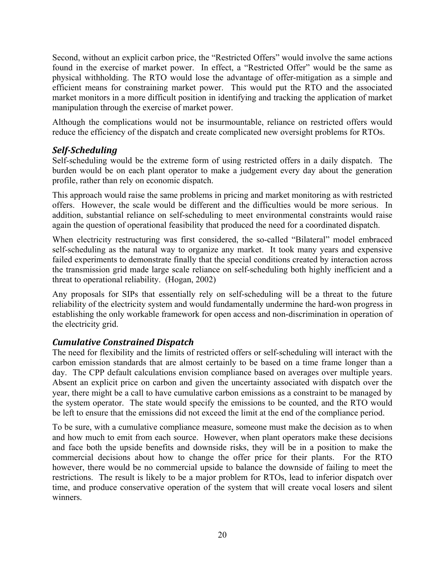Second, without an explicit carbon price, the "Restricted Offers" would involve the same actions found in the exercise of market power. In effect, a "Restricted Offer" would be the same as physical withholding. The RTO would lose the advantage of offer-mitigation as a simple and efficient means for constraining market power. This would put the RTO and the associated market monitors in a more difficult position in identifying and tracking the application of market manipulation through the exercise of market power.

Although the complications would not be insurmountable, reliance on restricted offers would reduce the efficiency of the dispatch and create complicated new oversight problems for RTOs.

## *Self‐Scheduling*

Self-scheduling would be the extreme form of using restricted offers in a daily dispatch. The burden would be on each plant operator to make a judgement every day about the generation profile, rather than rely on economic dispatch.

This approach would raise the same problems in pricing and market monitoring as with restricted offers. However, the scale would be different and the difficulties would be more serious. In addition, substantial reliance on self-scheduling to meet environmental constraints would raise again the question of operational feasibility that produced the need for a coordinated dispatch.

When electricity restructuring was first considered, the so-called "Bilateral" model embraced self-scheduling as the natural way to organize any market. It took many years and expensive failed experiments to demonstrate finally that the special conditions created by interaction across the transmission grid made large scale reliance on self-scheduling both highly inefficient and a threat to operational reliability. (Hogan, 2002)

Any proposals for SIPs that essentially rely on self-scheduling will be a threat to the future reliability of the electricity system and would fundamentally undermine the hard-won progress in establishing the only workable framework for open access and non-discrimination in operation of the electricity grid.

## *Cumulative Constrained Dispatch*

The need for flexibility and the limits of restricted offers or self-scheduling will interact with the carbon emission standards that are almost certainly to be based on a time frame longer than a day. The CPP default calculations envision compliance based on averages over multiple years. Absent an explicit price on carbon and given the uncertainty associated with dispatch over the year, there might be a call to have cumulative carbon emissions as a constraint to be managed by the system operator. The state would specify the emissions to be counted, and the RTO would be left to ensure that the emissions did not exceed the limit at the end of the compliance period.

To be sure, with a cumulative compliance measure, someone must make the decision as to when and how much to emit from each source. However, when plant operators make these decisions and face both the upside benefits and downside risks, they will be in a position to make the commercial decisions about how to change the offer price for their plants. For the RTO however, there would be no commercial upside to balance the downside of failing to meet the restrictions. The result is likely to be a major problem for RTOs, lead to inferior dispatch over time, and produce conservative operation of the system that will create vocal losers and silent winners.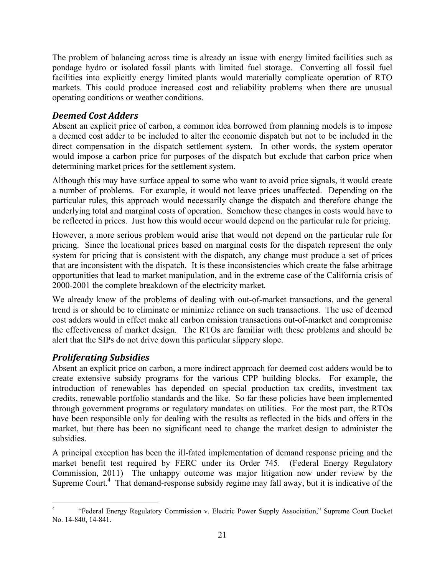The problem of balancing across time is already an issue with energy limited facilities such as pondage hydro or isolated fossil plants with limited fuel storage. Converting all fossil fuel facilities into explicitly energy limited plants would materially complicate operation of RTO markets. This could produce increased cost and reliability problems when there are unusual operating conditions or weather conditions.

## *Deemed Cost Adders*

Absent an explicit price of carbon, a common idea borrowed from planning models is to impose a deemed cost adder to be included to alter the economic dispatch but not to be included in the direct compensation in the dispatch settlement system. In other words, the system operator would impose a carbon price for purposes of the dispatch but exclude that carbon price when determining market prices for the settlement system.

Although this may have surface appeal to some who want to avoid price signals, it would create a number of problems. For example, it would not leave prices unaffected. Depending on the particular rules, this approach would necessarily change the dispatch and therefore change the underlying total and marginal costs of operation. Somehow these changes in costs would have to be reflected in prices. Just how this would occur would depend on the particular rule for pricing.

However, a more serious problem would arise that would not depend on the particular rule for pricing. Since the locational prices based on marginal costs for the dispatch represent the only system for pricing that is consistent with the dispatch, any change must produce a set of prices that are inconsistent with the dispatch. It is these inconsistencies which create the false arbitrage opportunities that lead to market manipulation, and in the extreme case of the California crisis of 2000-2001 the complete breakdown of the electricity market.

We already know of the problems of dealing with out-of-market transactions, and the general trend is or should be to eliminate or minimize reliance on such transactions. The use of deemed cost adders would in effect make all carbon emission transactions out-of-market and compromise the effectiveness of market design. The RTOs are familiar with these problems and should be alert that the SIPs do not drive down this particular slippery slope.

## *Proliferating Subsidies*

Absent an explicit price on carbon, a more indirect approach for deemed cost adders would be to create extensive subsidy programs for the various CPP building blocks. For example, the introduction of renewables has depended on special production tax credits, investment tax credits, renewable portfolio standards and the like. So far these policies have been implemented through government programs or regulatory mandates on utilities. For the most part, the RTOs have been responsible only for dealing with the results as reflected in the bids and offers in the market, but there has been no significant need to change the market design to administer the subsidies.

A principal exception has been the ill-fated implementation of demand response pricing and the market benefit test required by FERC under its Order 745. (Federal Energy Regulatory Commission, 2011) The unhappy outcome was major litigation now under review by the Supreme Court.<sup>4</sup> That demand-response subsidy regime may fall away, but it is indicative of the

<sup>1</sup> 4 "Federal Energy Regulatory Commission v. Electric Power Supply Association," Supreme Court Docket No. 14-840, 14-841.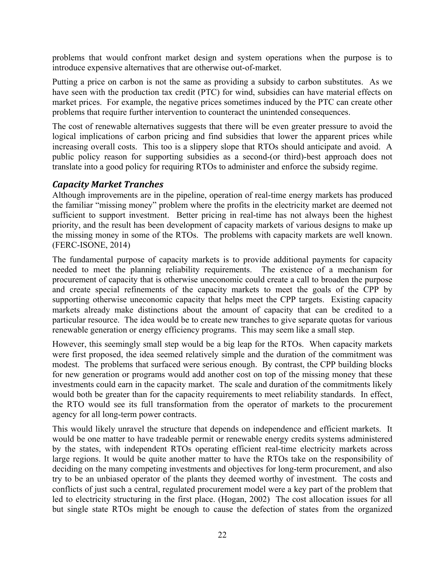problems that would confront market design and system operations when the purpose is to introduce expensive alternatives that are otherwise out-of-market.

Putting a price on carbon is not the same as providing a subsidy to carbon substitutes. As we have seen with the production tax credit (PTC) for wind, subsidies can have material effects on market prices. For example, the negative prices sometimes induced by the PTC can create other problems that require further intervention to counteract the unintended consequences.

The cost of renewable alternatives suggests that there will be even greater pressure to avoid the logical implications of carbon pricing and find subsidies that lower the apparent prices while increasing overall costs. This too is a slippery slope that RTOs should anticipate and avoid. A public policy reason for supporting subsidies as a second-(or third)-best approach does not translate into a good policy for requiring RTOs to administer and enforce the subsidy regime.

#### *Capacity Market Tranches*

Although improvements are in the pipeline, operation of real-time energy markets has produced the familiar "missing money" problem where the profits in the electricity market are deemed not sufficient to support investment. Better pricing in real-time has not always been the highest priority, and the result has been development of capacity markets of various designs to make up the missing money in some of the RTOs. The problems with capacity markets are well known. (FERC-ISONE, 2014)

The fundamental purpose of capacity markets is to provide additional payments for capacity needed to meet the planning reliability requirements. The existence of a mechanism for procurement of capacity that is otherwise uneconomic could create a call to broaden the purpose and create special refinements of the capacity markets to meet the goals of the CPP by supporting otherwise uneconomic capacity that helps meet the CPP targets. Existing capacity markets already make distinctions about the amount of capacity that can be credited to a particular resource. The idea would be to create new tranches to give separate quotas for various renewable generation or energy efficiency programs. This may seem like a small step.

However, this seemingly small step would be a big leap for the RTOs. When capacity markets were first proposed, the idea seemed relatively simple and the duration of the commitment was modest. The problems that surfaced were serious enough. By contrast, the CPP building blocks for new generation or programs would add another cost on top of the missing money that these investments could earn in the capacity market. The scale and duration of the commitments likely would both be greater than for the capacity requirements to meet reliability standards. In effect, the RTO would see its full transformation from the operator of markets to the procurement agency for all long-term power contracts.

This would likely unravel the structure that depends on independence and efficient markets. It would be one matter to have tradeable permit or renewable energy credits systems administered by the states, with independent RTOs operating efficient real-time electricity markets across large regions. It would be quite another matter to have the RTOs take on the responsibility of deciding on the many competing investments and objectives for long-term procurement, and also try to be an unbiased operator of the plants they deemed worthy of investment. The costs and conflicts of just such a central, regulated procurement model were a key part of the problem that led to electricity structuring in the first place. (Hogan, 2002) The cost allocation issues for all but single state RTOs might be enough to cause the defection of states from the organized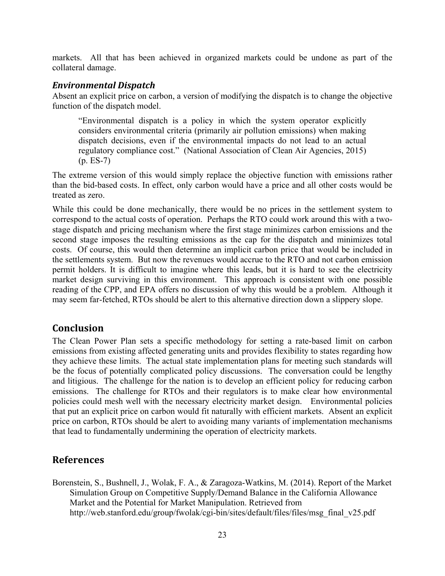markets. All that has been achieved in organized markets could be undone as part of the collateral damage.

#### *Environmental Dispatch*

Absent an explicit price on carbon, a version of modifying the dispatch is to change the objective function of the dispatch model.

"Environmental dispatch is a policy in which the system operator explicitly considers environmental criteria (primarily air pollution emissions) when making dispatch decisions, even if the environmental impacts do not lead to an actual regulatory compliance cost." (National Association of Clean Air Agencies, 2015) (p. ES-7)

The extreme version of this would simply replace the objective function with emissions rather than the bid-based costs. In effect, only carbon would have a price and all other costs would be treated as zero.

While this could be done mechanically, there would be no prices in the settlement system to correspond to the actual costs of operation. Perhaps the RTO could work around this with a twostage dispatch and pricing mechanism where the first stage minimizes carbon emissions and the second stage imposes the resulting emissions as the cap for the dispatch and minimizes total costs. Of course, this would then determine an implicit carbon price that would be included in the settlements system. But now the revenues would accrue to the RTO and not carbon emission permit holders. It is difficult to imagine where this leads, but it is hard to see the electricity market design surviving in this environment. This approach is consistent with one possible reading of the CPP, and EPA offers no discussion of why this would be a problem. Although it may seem far-fetched, RTOs should be alert to this alternative direction down a slippery slope.

## **Conclusion**

The Clean Power Plan sets a specific methodology for setting a rate-based limit on carbon emissions from existing affected generating units and provides flexibility to states regarding how they achieve these limits. The actual state implementation plans for meeting such standards will be the focus of potentially complicated policy discussions. The conversation could be lengthy and litigious. The challenge for the nation is to develop an efficient policy for reducing carbon emissions. The challenge for RTOs and their regulators is to make clear how environmental policies could mesh well with the necessary electricity market design. Environmental policies that put an explicit price on carbon would fit naturally with efficient markets. Absent an explicit price on carbon, RTOs should be alert to avoiding many variants of implementation mechanisms that lead to fundamentally undermining the operation of electricity markets.

## **References**

Borenstein, S., Bushnell, J., Wolak, F. A., & Zaragoza-Watkins, M. (2014). Report of the Market Simulation Group on Competitive Supply/Demand Balance in the California Allowance Market and the Potential for Market Manipulation. Retrieved from http://web.stanford.edu/group/fwolak/cgi-bin/sites/default/files/files/msg\_final\_v25.pdf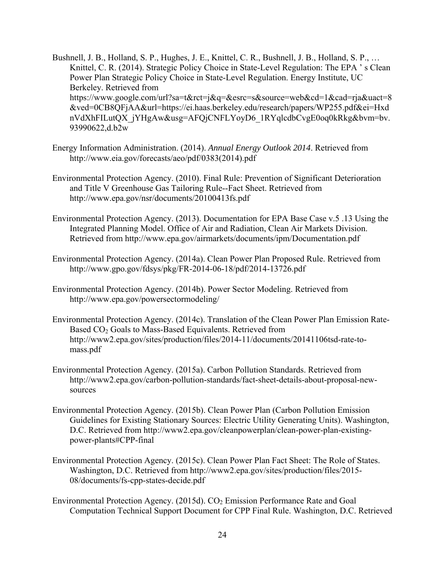Bushnell, J. B., Holland, S. P., Hughes, J. E., Knittel, C. R., Bushnell, J. B., Holland, S. P., … Knittel, C. R. (2014). Strategic Policy Choice in State-Level Regulation: The EPA ' s Clean Power Plan Strategic Policy Choice in State-Level Regulation. Energy Institute, UC Berkeley. Retrieved from https://www.google.com/url?sa=t&rct=j&q=&esrc=s&source=web&cd=1&cad=rja&uact=8 &ved=0CB8QFjAA&url=https://ei.haas.berkeley.edu/research/papers/WP255.pdf&ei=Hxd nVdXhFILutQX\_jYHgAw&usg=AFQjCNFLYoyD6\_1RYqlcdbCvgE0oq0kRkg&bvm=bv. 93990622,d.b2w

- Energy Information Administration. (2014). *Annual Energy Outlook 2014*. Retrieved from http://www.eia.gov/forecasts/aeo/pdf/0383(2014).pdf
- Environmental Protection Agency. (2010). Final Rule: Prevention of Significant Deterioration and Title V Greenhouse Gas Tailoring Rule--Fact Sheet. Retrieved from http://www.epa.gov/nsr/documents/20100413fs.pdf
- Environmental Protection Agency. (2013). Documentation for EPA Base Case v.5 .13 Using the Integrated Planning Model. Office of Air and Radiation, Clean Air Markets Division. Retrieved from http://www.epa.gov/airmarkets/documents/ipm/Documentation.pdf
- Environmental Protection Agency. (2014a). Clean Power Plan Proposed Rule. Retrieved from http://www.gpo.gov/fdsys/pkg/FR-2014-06-18/pdf/2014-13726.pdf
- Environmental Protection Agency. (2014b). Power Sector Modeling. Retrieved from http://www.epa.gov/powersectormodeling/
- Environmental Protection Agency. (2014c). Translation of the Clean Power Plan Emission Rate-Based CO<sub>2</sub> Goals to Mass-Based Equivalents. Retrieved from http://www2.epa.gov/sites/production/files/2014-11/documents/20141106tsd-rate-tomass.pdf
- Environmental Protection Agency. (2015a). Carbon Pollution Standards. Retrieved from http://www2.epa.gov/carbon-pollution-standards/fact-sheet-details-about-proposal-newsources
- Environmental Protection Agency. (2015b). Clean Power Plan (Carbon Pollution Emission Guidelines for Existing Stationary Sources: Electric Utility Generating Units). Washington, D.C. Retrieved from http://www2.epa.gov/cleanpowerplan/clean-power-plan-existingpower-plants#CPP-final
- Environmental Protection Agency. (2015c). Clean Power Plan Fact Sheet: The Role of States. Washington, D.C. Retrieved from http://www2.epa.gov/sites/production/files/2015- 08/documents/fs-cpp-states-decide.pdf
- Environmental Protection Agency. (2015d).  $CO<sub>2</sub>$  Emission Performance Rate and Goal Computation Technical Support Document for CPP Final Rule. Washington, D.C. Retrieved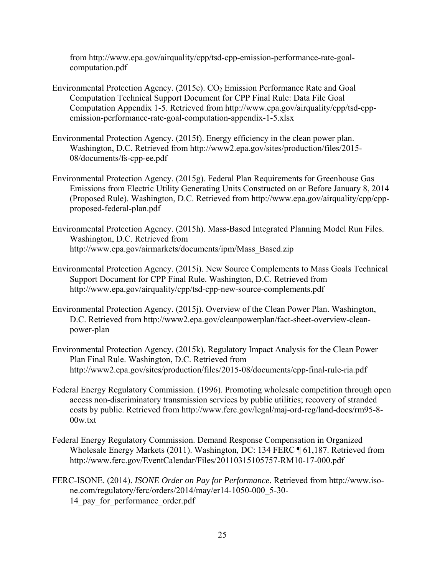from http://www.epa.gov/airquality/cpp/tsd-cpp-emission-performance-rate-goalcomputation.pdf

- Environmental Protection Agency. (2015e).  $CO<sub>2</sub>$  Emission Performance Rate and Goal Computation Technical Support Document for CPP Final Rule: Data File Goal Computation Appendix 1-5. Retrieved from http://www.epa.gov/airquality/cpp/tsd-cppemission-performance-rate-goal-computation-appendix-1-5.xlsx
- Environmental Protection Agency. (2015f). Energy efficiency in the clean power plan. Washington, D.C. Retrieved from http://www2.epa.gov/sites/production/files/2015- 08/documents/fs-cpp-ee.pdf
- Environmental Protection Agency. (2015g). Federal Plan Requirements for Greenhouse Gas Emissions from Electric Utility Generating Units Constructed on or Before January 8, 2014 (Proposed Rule). Washington, D.C. Retrieved from http://www.epa.gov/airquality/cpp/cppproposed-federal-plan.pdf
- Environmental Protection Agency. (2015h). Mass-Based Integrated Planning Model Run Files. Washington, D.C. Retrieved from http://www.epa.gov/airmarkets/documents/ipm/Mass\_Based.zip
- Environmental Protection Agency. (2015i). New Source Complements to Mass Goals Technical Support Document for CPP Final Rule. Washington, D.C. Retrieved from http://www.epa.gov/airquality/cpp/tsd-cpp-new-source-complements.pdf
- Environmental Protection Agency. (2015j). Overview of the Clean Power Plan. Washington, D.C. Retrieved from http://www2.epa.gov/cleanpowerplan/fact-sheet-overview-cleanpower-plan
- Environmental Protection Agency. (2015k). Regulatory Impact Analysis for the Clean Power Plan Final Rule. Washington, D.C. Retrieved from http://www2.epa.gov/sites/production/files/2015-08/documents/cpp-final-rule-ria.pdf
- Federal Energy Regulatory Commission. (1996). Promoting wholesale competition through open access non-discriminatory transmission services by public utilities; recovery of stranded costs by public. Retrieved from http://www.ferc.gov/legal/maj-ord-reg/land-docs/rm95-8-  $00w.txt$
- Federal Energy Regulatory Commission. Demand Response Compensation in Organized Wholesale Energy Markets (2011). Washington, DC: 134 FERC ¶ 61,187. Retrieved from http://www.ferc.gov/EventCalendar/Files/20110315105757-RM10-17-000.pdf
- FERC-ISONE. (2014). *ISONE Order on Pay for Performance*. Retrieved from http://www.isone.com/regulatory/ferc/orders/2014/may/er14-1050-000\_5-30- 14 pay for performance order.pdf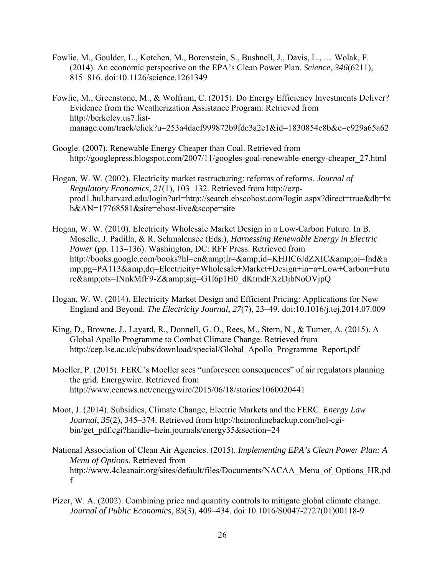- Fowlie, M., Goulder, L., Kotchen, M., Borenstein, S., Bushnell, J., Davis, L., … Wolak, F. (2014). An economic perspective on the EPA's Clean Power Plan. *Science*, *346*(6211), 815–816. doi:10.1126/science.1261349
- Fowlie, M., Greenstone, M., & Wolfram, C. (2015). Do Energy Efficiency Investments Deliver? Evidence from the Weatherization Assistance Program. Retrieved from http://berkeley.us7.listmanage.com/track/click?u=253a4daef999872b9fde3a2e1&id=1830854e8b&e=e929a65a62
- Google. (2007). Renewable Energy Cheaper than Coal. Retrieved from http://googlepress.blogspot.com/2007/11/googles-goal-renewable-energy-cheaper\_27.html
- Hogan, W. W. (2002). Electricity market restructuring: reforms of reforms. *Journal of Regulatory Economics*, *21*(1), 103–132. Retrieved from http://ezpprod1.hul.harvard.edu/login?url=http://search.ebscohost.com/login.aspx?direct=true&db=bt h&AN=17768581&site=ehost-live&scope=site
- Hogan, W. W. (2010). Electricity Wholesale Market Design in a Low-Carbon Future. In B. Moselle, J. Padilla, & R. Schmalensee (Eds.), *Harnessing Renewable Energy in Electric Power* (pp. 113–136). Washington, DC: RFF Press. Retrieved from http://books.google.com/books?hl=en&lr=&id=KHJIC6JdZXIC&oi=fnd&a mp;pg=PA113&dq=Electricity+Wholesale+Market+Design+in+a+Low+Carbon+Futu re&ots=INnkMfF9-Z&sig=G1l6p1H0\_dKtmdFXzDjbNoOVjpQ
- Hogan, W. W. (2014). Electricity Market Design and Efficient Pricing: Applications for New England and Beyond. *The Electricity Journal*, *27*(7), 23–49. doi:10.1016/j.tej.2014.07.009
- King, D., Browne, J., Layard, R., Donnell, G. O., Rees, M., Stern, N., & Turner, A. (2015). A Global Apollo Programme to Combat Climate Change. Retrieved from http://cep.lse.ac.uk/pubs/download/special/Global\_Apollo\_Programme\_Report.pdf
- Moeller, P. (2015). FERC's Moeller sees "unforeseen consequences" of air regulators planning the grid. Energywire. Retrieved from http://www.eenews.net/energywire/2015/06/18/stories/1060020441
- Moot, J. (2014). Subsidies, Climate Change, Electric Markets and the FERC. *Energy Law Journal*, *35*(2), 345–374. Retrieved from http://heinonlinebackup.com/hol-cgibin/get\_pdf.cgi?handle=hein.journals/energy35&section=24
- National Association of Clean Air Agencies. (2015). *Implementing EPA's Clean Power Plan: A Menu of Options*. Retrieved from http://www.4cleanair.org/sites/default/files/Documents/NACAA\_Menu\_of\_Options\_HR.pd f
- Pizer, W. A. (2002). Combining price and quantity controls to mitigate global climate change. *Journal of Public Economics*, *85*(3), 409–434. doi:10.1016/S0047-2727(01)00118-9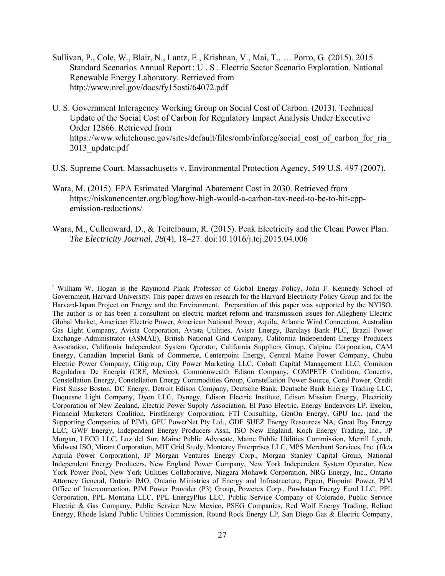- Sullivan, P., Cole, W., Blair, N., Lantz, E., Krishnan, V., Mai, T., … Porro, G. (2015). 2015 Standard Scenarios Annual Report : U . S . Electric Sector Scenario Exploration. National Renewable Energy Laboratory. Retrieved from http://www.nrel.gov/docs/fy15osti/64072.pdf
- U. S. Government Interagency Working Group on Social Cost of Carbon. (2013). Technical Update of the Social Cost of Carbon for Regulatory Impact Analysis Under Executive Order 12866. Retrieved from https://www.whitehouse.gov/sites/default/files/omb/inforeg/social\_cost\_of\_carbon\_for\_ria 2013 update.pdf
- U.S. Supreme Court. Massachusetts v. Environmental Protection Agency, 549 U.S. 497 (2007).
- Wara, M. (2015). EPA Estimated Marginal Abatement Cost in 2030. Retrieved from https://niskanencenter.org/blog/how-high-would-a-carbon-tax-need-to-be-to-hit-cppemission-reductions/

 $\overline{a}$ 

Wara, M., Cullenward, D., & Teitelbaum, R. (2015). Peak Electricity and the Clean Power Plan. *The Electricity Journal*, *28*(4), 18–27. doi:10.1016/j.tej.2015.04.006

<sup>&</sup>lt;sup>i</sup> William W. Hogan is the Raymond Plank Professor of Global Energy Policy, John F. Kennedy School of Government, Harvard University. This paper draws on research for the Harvard Electricity Policy Group and for the Harvard-Japan Project on Energy and the Environment. Preparation of this paper was supported by the NYISO. The author is or has been a consultant on electric market reform and transmission issues for Allegheny Electric Global Market, American Electric Power, American National Power, Aquila, Atlantic Wind Connection, Australian Gas Light Company, Avista Corporation, Avista Utilities, Avista Energy, Barclays Bank PLC, Brazil Power Exchange Administrator (ASMAE), British National Grid Company, California Independent Energy Producers Association, California Independent System Operator, California Suppliers Group, Calpine Corporation, CAM Energy, Canadian Imperial Bank of Commerce, Centerpoint Energy, Central Maine Power Company, Chubu Electric Power Company, Citigroup, City Power Marketing LLC, Cobalt Capital Management LLC, Comision Reguladora De Energia (CRE, Mexico), Commonwealth Edison Company, COMPETE Coalition, Conectiv, Constellation Energy, Constellation Energy Commodities Group, Constellation Power Source, Coral Power, Credit First Suisse Boston, DC Energy, Detroit Edison Company, Deutsche Bank, Deutsche Bank Energy Trading LLC, Duquesne Light Company, Dyon LLC, Dynegy, Edison Electric Institute, Edison Mission Energy, Electricity Corporation of New Zealand, Electric Power Supply Association, El Paso Electric, Energy Endeavors LP, Exelon, Financial Marketers Coalition, FirstEnergy Corporation, FTI Consulting, GenOn Energy, GPU Inc. (and the Supporting Companies of PJM), GPU PowerNet Pty Ltd., GDF SUEZ Energy Resources NA, Great Bay Energy LLC, GWF Energy, Independent Energy Producers Assn, ISO New England, Koch Energy Trading, Inc., JP Morgan, LECG LLC, Luz del Sur, Maine Public Advocate, Maine Public Utilities Commission, Merrill Lynch, Midwest ISO, Mirant Corporation, MIT Grid Study, Monterey Enterprises LLC, MPS Merchant Services, Inc. (f/k/a Aquila Power Corporation), JP Morgan Ventures Energy Corp., Morgan Stanley Capital Group, National Independent Energy Producers, New England Power Company, New York Independent System Operator, New York Power Pool, New York Utilities Collaborative, Niagara Mohawk Corporation, NRG Energy, Inc., Ontario Attorney General, Ontario IMO, Ontario Ministries of Energy and Infrastructure, Pepco, Pinpoint Power, PJM Office of Interconnection, PJM Power Provider (P3) Group, Powerex Corp., Powhatan Energy Fund LLC, PPL Corporation, PPL Montana LLC, PPL EnergyPlus LLC, Public Service Company of Colorado, Public Service Electric & Gas Company, Public Service New Mexico, PSEG Companies, Red Wolf Energy Trading, Reliant Energy, Rhode Island Public Utilities Commission, Round Rock Energy LP, San Diego Gas & Electric Company,